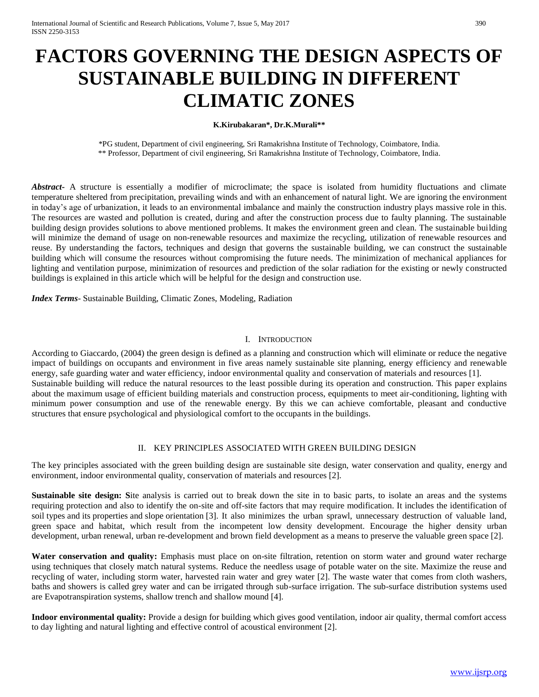# **FACTORS GOVERNING THE DESIGN ASPECTS OF SUSTAINABLE BUILDING IN DIFFERENT CLIMATIC ZONES**

### **K.Kirubakaran\*, Dr.K.Murali\*\***

\*PG student, Department of civil engineering, Sri Ramakrishna Institute of Technology, Coimbatore, India. \*\* Professor, Department of civil engineering, Sri Ramakrishna Institute of Technology, Coimbatore, India.

**Abstract** A structure is essentially a modifier of microclimate; the space is isolated from humidity fluctuations and climate temperature sheltered from precipitation, prevailing winds and with an enhancement of natural light. We are ignoring the environment in today's age of urbanization, it leads to an environmental imbalance and mainly the construction industry plays massive role in this. The resources are wasted and pollution is created, during and after the construction process due to faulty planning. The sustainable building design provides solutions to above mentioned problems. It makes the environment green and clean. The sustainable building will minimize the demand of usage on non-renewable resources and maximize the recycling, utilization of renewable resources and reuse. By understanding the factors, techniques and design that governs the sustainable building, we can construct the sustainable building which will consume the resources without compromising the future needs. The minimization of mechanical appliances for lighting and ventilation purpose, minimization of resources and prediction of the solar radiation for the existing or newly constructed buildings is explained in this article which will be helpful for the design and construction use.

*Index Terms*- Sustainable Building, Climatic Zones, Modeling, Radiation

#### I. INTRODUCTION

According to Giaccardo, (2004) the green design is defined as a planning and construction which will eliminate or reduce the negative impact of buildings on occupants and environment in five areas namely sustainable site planning, energy efficiency and renewable energy, safe guarding water and water efficiency, indoor environmental quality and conservation of materials and resources [1]. Sustainable building will reduce the natural resources to the least possible during its operation and construction. This paper explains about the maximum usage of efficient building materials and construction process, equipments to meet air-conditioning, lighting with minimum power consumption and use of the renewable energy. By this we can achieve comfortable, pleasant and conductive structures that ensure psychological and physiological comfort to the occupants in the buildings.

### II. KEY PRINCIPLES ASSOCIATED WITH GREEN BUILDING DESIGN

The key principles associated with the green building design are sustainable site design, water conservation and quality, energy and environment, indoor environmental quality, conservation of materials and resources [2].

**Sustainable site design: S**ite analysis is carried out to break down the site in to basic parts, to isolate an areas and the systems requiring protection and also to identify the on-site and off-site factors that may require modification. It includes the identification of soil types and its properties and slope orientation [3]. It also minimizes the urban sprawl, unnecessary destruction of valuable land, green space and habitat, which result from the incompetent low density development. Encourage the higher density urban development, urban renewal, urban re-development and brown field development as a means to preserve the valuable green space [2].

Water conservation and quality: Emphasis must place on on-site filtration, retention on storm water and ground water recharge using techniques that closely match natural systems. Reduce the needless usage of potable water on the site. Maximize the reuse and recycling of water, including storm water, harvested rain water and grey water [2]. The waste water that comes from cloth washers, baths and showers is called grey water and can be irrigated through sub-surface irrigation. The sub-surface distribution systems used are Evapotranspiration systems, shallow trench and shallow mound [4].

**Indoor environmental quality:** Provide a design for building which gives good ventilation, indoor air quality, thermal comfort access to day lighting and natural lighting and effective control of acoustical environment [2].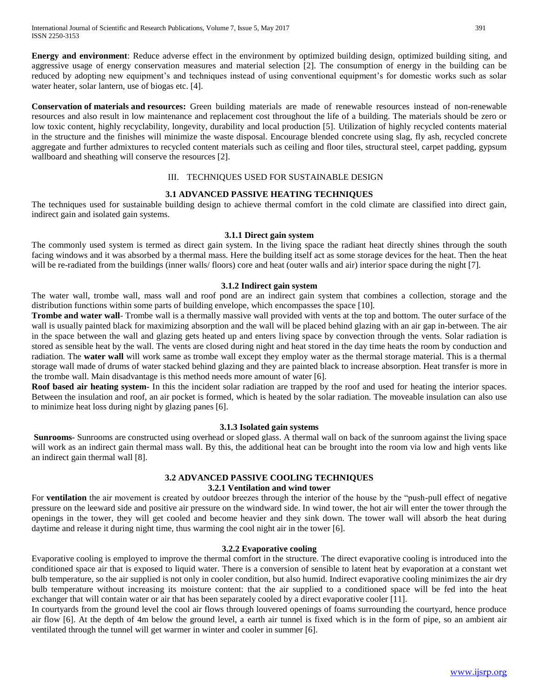**Energy and environment**: Reduce adverse effect in the environment by optimized building design, optimized building siting, and aggressive usage of energy conservation measures and material selection [2]. The consumption of energy in the building can be reduced by adopting new equipment's and techniques instead of using conventional equipment's for domestic works such as solar water heater, solar lantern, use of biogas etc. [4].

**Conservation of materials and resources:** Green building materials are made of renewable resources instead of non-renewable resources and also result in low maintenance and replacement cost throughout the life of a building. The materials should be zero or low toxic content, highly recyclability, longevity, durability and local production [5]. Utilization of highly recycled contents material in the structure and the finishes will minimize the waste disposal. Encourage blended concrete using slag, fly ash, recycled concrete aggregate and further admixtures to recycled content materials such as ceiling and floor tiles, structural steel, carpet padding, gypsum wallboard and sheathing will conserve the resources [2].

### III. TECHNIQUES USED FOR SUSTAINABLE DESIGN

## **3.1 ADVANCED PASSIVE HEATING TECHNIQUES**

The techniques used for sustainable building design to achieve thermal comfort in the cold climate are classified into direct gain, indirect gain and isolated gain systems.

### **3.1.1 Direct gain system**

The commonly used system is termed as direct gain system. In the living space the radiant heat directly shines through the south facing windows and it was absorbed by a thermal mass. Here the building itself act as some storage devices for the heat. Then the heat will be re-radiated from the buildings (inner walls/ floors) core and heat (outer walls and air) interior space during the night [7].

### **3.1.2 Indirect gain system**

The water wall, trombe wall, mass wall and roof pond are an indirect gain system that combines a collection, storage and the distribution functions within some parts of building envelope, which encompasses the space [10].

**Trombe and water wall**- Trombe wall is a thermally massive wall provided with vents at the top and bottom. The outer surface of the wall is usually painted black for maximizing absorption and the wall will be placed behind glazing with an air gap in-between. The air in the space between the wall and glazing gets heated up and enters living space by convection through the vents. Solar radiation is stored as sensible heat by the wall. The vents are closed during night and heat stored in the day time heats the room by conduction and radiation. The **water wall** will work same as trombe wall except they employ water as the thermal storage material. This is a thermal storage wall made of drums of water stacked behind glazing and they are painted black to increase absorption. Heat transfer is more in the trombe wall. Main disadvantage is this method needs more amount of water [6].

**Roof based air heating system-** In this the incident solar radiation are trapped by the roof and used for heating the interior spaces. Between the insulation and roof, an air pocket is formed, which is heated by the solar radiation. The moveable insulation can also use to minimize heat loss during night by glazing panes [6].

### **3.1.3 Isolated gain systems**

**Sunrooms-** Sunrooms are constructed using overhead or sloped glass. A thermal wall on back of the sunroom against the living space will work as an indirect gain thermal mass wall. By this, the additional heat can be brought into the room via low and high vents like an indirect gain thermal wall [8].

## **3.2 ADVANCED PASSIVE COOLING TECHNIQUES**

## **3.2.1 Ventilation and wind tower**

For **ventilation** the air movement is created by outdoor breezes through the interior of the house by the "push-pull effect of negative pressure on the leeward side and positive air pressure on the windward side. In wind tower, the hot air will enter the tower through the openings in the tower, they will get cooled and become heavier and they sink down. The tower wall will absorb the heat during daytime and release it during night time, thus warming the cool night air in the tower [6].

### **3.2.2 Evaporative cooling**

Evaporative cooling is employed to improve the thermal comfort in the structure. The direct evaporative cooling is introduced into the conditioned space air that is exposed to liquid water. There is a conversion of sensible to latent heat by evaporation at a constant wet bulb temperature, so the air supplied is not only in cooler condition, but also humid. Indirect evaporative cooling minimizes the air dry bulb temperature without increasing its moisture content: that the air supplied to a conditioned space will be fed into the heat exchanger that will contain water or air that has been separately cooled by a direct evaporative cooler [11].

In courtyards from the ground level the cool air flows through louvered openings of foams surrounding the courtyard, hence produce air flow [6]. At the depth of 4m below the ground level, a earth air tunnel is fixed which is in the form of pipe, so an ambient air ventilated through the tunnel will get warmer in winter and cooler in summer [6].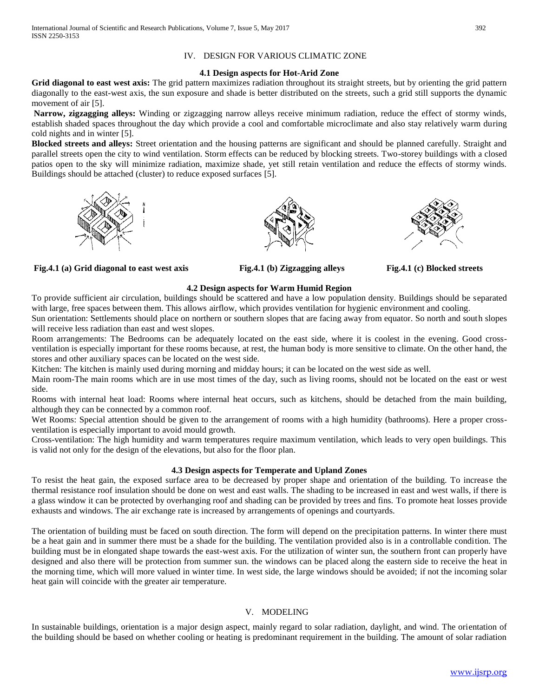## IV. DESIGN FOR VARIOUS CLIMATIC ZONE

### **4.1 Design aspects for Hot-Arid Zone**

Grid diagonal to east west axis: The grid pattern maximizes radiation throughout its straight streets, but by orienting the grid pattern diagonally to the east-west axis, the sun exposure and shade is better distributed on the streets, such a grid still supports the dynamic movement of air [5].

**Narrow, zigzagging alleys:** Winding or zigzagging narrow alleys receive minimum radiation, reduce the effect of stormy winds, establish shaded spaces throughout the day which provide a cool and comfortable microclimate and also stay relatively warm during cold nights and in winter [5].

**Blocked streets and alleys:** Street orientation and the housing patterns are significant and should be planned carefully. Straight and parallel streets open the city to wind ventilation. Storm effects can be reduced by blocking streets. Two-storey buildings with a closed patios open to the sky will minimize radiation, maximize shade, yet still retain ventilation and reduce the effects of stormy winds. Buildings should be attached (cluster) to reduce exposed surfaces [5].



**Fig.4.1 (a) Grid diagonal to east west axis Fig.4.1 (b) Zigzagging alleys Fig.4.1 (c) Blocked streets**





## **4.2 Design aspects for Warm Humid Region**

To provide sufficient air circulation, buildings should be scattered and have a low population density. Buildings should be separated with large, free spaces between them. This allows airflow, which provides ventilation for hygienic environment and cooling.

Sun orientation: Settlements should place on northern or southern slopes that are facing away from equator. So north and south slopes will receive less radiation than east and west slopes.

Room arrangements: The Bedrooms can be adequately located on the east side, where it is coolest in the evening. Good crossventilation is especially important for these rooms because, at rest, the human body is more sensitive to climate. On the other hand, the stores and other auxiliary spaces can be located on the west side.

Kitchen: The kitchen is mainly used during morning and midday hours; it can be located on the west side as well.

Main room-The main rooms which are in use most times of the day, such as living rooms, should not be located on the east or west side.

Rooms with internal heat load: Rooms where internal heat occurs, such as kitchens, should be detached from the main building, although they can be connected by a common roof.

Wet Rooms: Special attention should be given to the arrangement of rooms with a high humidity (bathrooms). Here a proper crossventilation is especially important to avoid mould growth.

Cross-ventilation: The high humidity and warm temperatures require maximum ventilation, which leads to very open buildings. This is valid not only for the design of the elevations, but also for the floor plan.

## **4.3 Design aspects for Temperate and Upland Zones**

To resist the heat gain, the exposed surface area to be decreased by proper shape and orientation of the building. To increase the thermal resistance roof insulation should be done on west and east walls. The shading to be increased in east and west walls, if there is a glass window it can be protected by overhanging roof and shading can be provided by trees and fins. To promote heat losses provide exhausts and windows. The air exchange rate is increased by arrangements of openings and courtyards.

The orientation of building must be faced on south direction. The form will depend on the precipitation patterns. In winter there must be a heat gain and in summer there must be a shade for the building. The ventilation provided also is in a controllable condition. The building must be in elongated shape towards the east-west axis. For the utilization of winter sun, the southern front can properly have designed and also there will be protection from summer sun. the windows can be placed along the eastern side to receive the heat in the morning time, which will more valued in winter time. In west side, the large windows should be avoided; if not the incoming solar heat gain will coincide with the greater air temperature.

## V. MODELING

In sustainable buildings, orientation is a major design aspect, mainly regard to solar radiation, daylight, and wind. The orientation of the building should be based on whether cooling or heating is predominant requirement in the building. The amount of solar radiation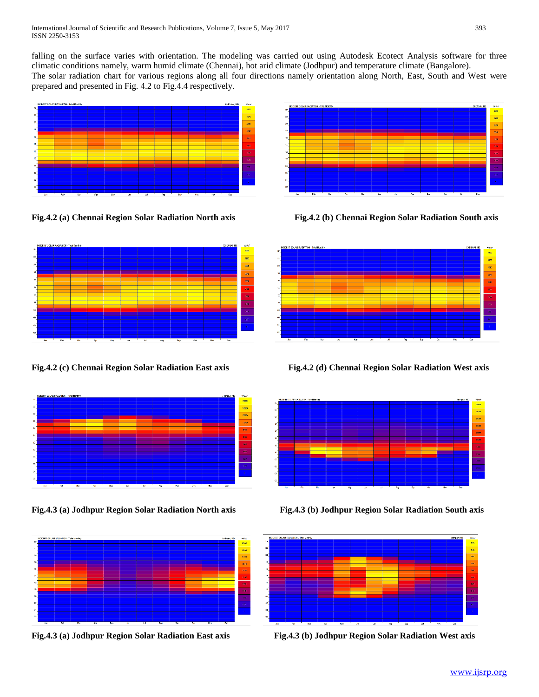falling on the surface varies with orientation. The modeling was carried out using Autodesk Ecotect Analysis software for three climatic conditions namely, warm humid climate (Chennai), hot arid climate (Jodhpur) and temperature climate (Bangalore). The solar radiation chart for various regions along all four directions namely orientation along North, East, South and West were

prepared and presented in Fig. 4.2 to Fig.4.4 respectively.







**Fig.4.3 (a) Jodhpur Region Solar Radiation North axis Fig.4.3 (b) Jodhpur Region Solar Radiation South axis**





**Fig.4.2 (a) Chennai Region Solar Radiation North axis Fig.4.2 (b) Chennai Region Solar Radiation South axis**



**Fig.4.2 (c) Chennai Region Solar Radiation East axis Fig.4.2 (d) Chennai Region Solar Radiation West axis**





**Fig.4.3 (a) Jodhpur Region Solar Radiation East axis Fig.4.3 (b) Jodhpur Region Solar Radiation West axis**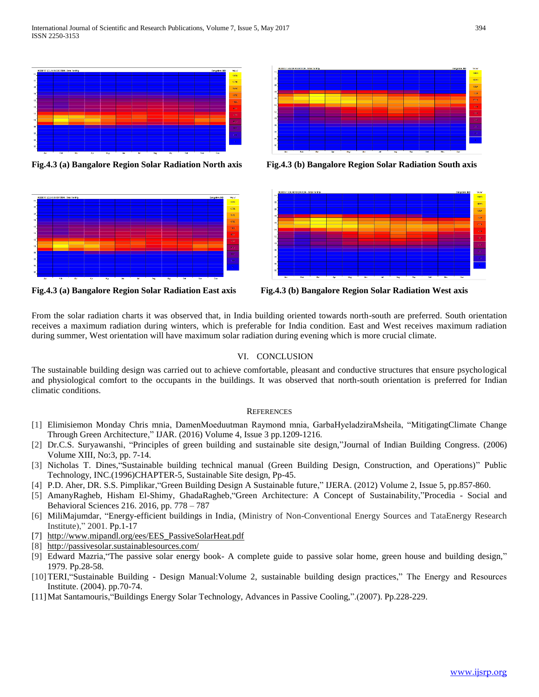

**Fig.4.3 (a) Bangalore Region Solar Radiation North axis Fig.4.3 (b) Bangalore Region Solar Radiation South axis**







**Fig.4.3 (a) Bangalore Region Solar Radiation East axis Fig.4.3 (b) Bangalore Region Solar Radiation West axis**

From the solar radiation charts it was observed that, in India building oriented towards north-south are preferred. South orientation receives a maximum radiation during winters, which is preferable for India condition. East and West receives maximum radiation during summer, West orientation will have maximum solar radiation during evening which is more crucial climate.

## VI. CONCLUSION

The sustainable building design was carried out to achieve comfortable, pleasant and conductive structures that ensure psychological and physiological comfort to the occupants in the buildings. It was observed that north-south orientation is preferred for Indian climatic conditions.

## **REFERENCES**

- [1] Elimisiemon Monday Chris mnia, DamenMoeduutman Raymond mnia, GarbaHyeladziraMsheila, "MitigatingClimate Change Through Green Architecture," IJAR. (2016) Volume 4, Issue 3 pp.1209-1216.
- [2] Dr.C.S. Suryawanshi, "Principles of green building and sustainable site design,"Journal of Indian Building Congress. (2006) Volume XIII, No:3, pp. 7-14.
- [3] Nicholas T. Dines,"Sustainable building technical manual (Green Building Design, Construction, and Operations)" Public Technology, INC.(1996)CHAPTER-5, Sustainable Site design, Pp-45.
- [4] P.D. Aher, DR. S.S. Pimplikar,"Green Building Design A Sustainable future," IJERA. (2012) Volume 2, Issue 5, pp.857-860.
- [5] AmanyRagheb, Hisham El-Shimy, GhadaRagheb,"Green Architecture: A Concept of Sustainability,"Procedia Social and Behavioral Sciences 216. 2016, pp. 778 – 787
- [6] MiliMajumdar, "Energy-efficient buildings in India, (Ministry of Non-Conventional Energy Sources and TataEnergy Research Institute)," 2001. Pp.1-17
- [7] [http://www.mipandl.org/ees/EES\\_PassiveSolarHeat.pdf](http://www.mipandl.org/ees/EES_PassiveSolarHeat.pdf)
- [8] <http://passivesolar.sustainablesources.com/>
- [9] Edward Mazria,"The passive solar energy book- A complete guide to passive solar home, green house and building design," 1979. Pp.28-58.
- [10]TERI,"Sustainable Building Design Manual:Volume 2, sustainable building design practices," The Energy and Resources Institute. (2004). pp.70-74.
- [11]Mat Santamouris,"Buildings Energy Solar Technology, Advances in Passive Cooling,".(2007). Pp.228-229.